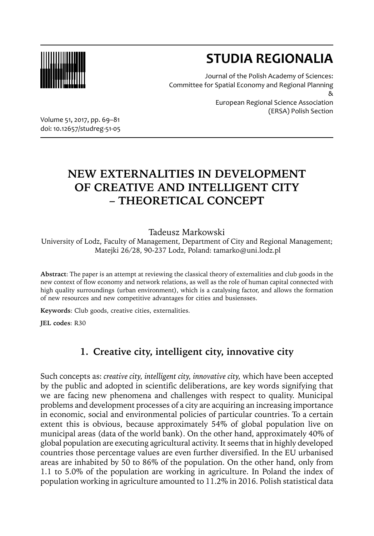

# **STUDIA REGIONALIA**

Journal of the Polish Academy of Sciences: Committee for Spatial Economy and Regional Planning &

European Regional Science Association (ERSA) Polish Section

Volume 51, 2017, pp. 69–81 doi: 10.12657/studreg-51-05

## **NEW EXTERNALITIES IN DEVELOPMENT OF CREATIVE AND INTELLIGENT CITY – THEORETICAL CONCEPT**

### Tadeusz Markowski

University of Lodz, Faculty of Management, Department of City and Regional Management; Matejki 26/28, 90-237 Lodz, Poland: tamarko@uni.lodz.pl

**Abstract**: The paper is an attempt at reviewing the classical theory of externalities and club goods in the new context of flow economy and network relations, as well as the role of human capital connected with high quality surroundings (urban environment), which is a catalysing factor, and allows the formation of new resources and new competitive advantages for cities and busiensses.

**Keywords**: Club goods, creative cities, externalities.

**JEL codes**: R30

### **1. Creative city, intelligent city, innovative city**

Such concepts as: *creative city, intelligent city, innovative city,* which have been accepted by the public and adopted in scientific deliberations, are key words signifying that we are facing new phenomena and challenges with respect to quality. Municipal problems and development processes of a city are acquiring an increasing importance in economic, social and environmental policies of particular countries. To a certain extent this is obvious, because approximately 54% of global population live on municipal areas (data of the world bank). On the other hand, approximately 40% of global population are executing agricultural activity. It seems that in highly developed countries those percentage values are even further diversified. In the EU urbanised areas are inhabited by 50 to 86% of the population. On the other hand, only from 1.1 to 5.0% of the population are working in agriculture. In Poland the index of population working in agriculture amounted to 11.2% in 2016. Polish statistical data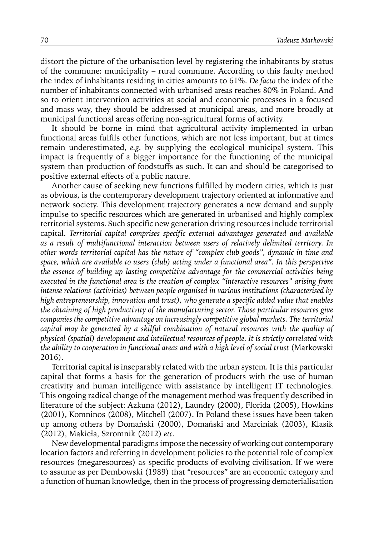distort the picture of the urbanisation level by registering the inhabitants by status of the commune: municipality – rural commune. According to this faulty method the index of inhabitants residing in cities amounts to 61%. *De facto* the index of the number of inhabitants connected with urbanised areas reaches 80% in Poland. And so to orient intervention activities at social and economic processes in a focused and mass way, they should be addressed at municipal areas, and more broadly at municipal functional areas offering non-agricultural forms of activity.

It should be borne in mind that agricultural activity implemented in urban functional areas fulfils other functions, which are not less important, but at times remain underestimated, *e.g.* by supplying the ecological municipal system. This impact is frequently of a bigger importance for the functioning of the municipal system than production of foodstuffs as such. It can and should be categorised to positive external effects of a public nature.

Another cause of seeking new functions fulfilled by modern cities, which is just as obvious, is the contemporary development trajectory oriented at informative and network society. This development trajectory generates a new demand and supply impulse to specific resources which are generated in urbanised and highly complex territorial systems. Such specific new generation driving resources include territorial capital. *Territorial capital comprises specific external advantages generated and available as a result of multifunctional interaction between users of relatively delimited territory. In other words territorial capital has the nature of "complex club goods", dynamic in time and space, which are available to users (club) acting under a functional area". In this perspective the essence of building up lasting competitive advantage for the commercial activities being executed in the functional area is the creation of complex "interactive resources" arising from intense relations (activities) between people organised in various institutions (characterised by high entrepreneurship, innovation and trust), who generate a specific added value that enables the obtaining of high productivity of the manufacturing sector. Those particular resources give companies the competitive advantage on increasingly competitive global markets. The territorial capital may be generated by a skilful combination of natural resources with the quality of physical (spatial) development and intellectual resources of people. It is strictly correlated with the ability to cooperation in functional areas and with a high level of social trust* (Markowski 2016).

Territorial capital is inseparably related with the urban system. It is this particular capital that forms a basis for the generation of products with the use of human creativity and human intelligence with assistance by intelligent IT technologies. This ongoing radical change of the management method was frequently described in literature of the subject: Azkuna (2012), Laundry (2000), Florida (2005), Howkins (2001), Komninos (2008), Mitchell (2007). In Poland these issues have been taken up among others by Domański (2000), Domański and Marciniak (2003), Klasik (2012), Makieła, Szromnik (2012) *etc*.

New developmental paradigms impose the necessity of working out contemporary location factors and referring in development policies to the potential role of complex resources (megaresources) as specific products of evolving civilisation. If we were to assume as per Dembowski (1989) that "resources" are an economic category and a function of human knowledge, then in the process of progressing dematerialisation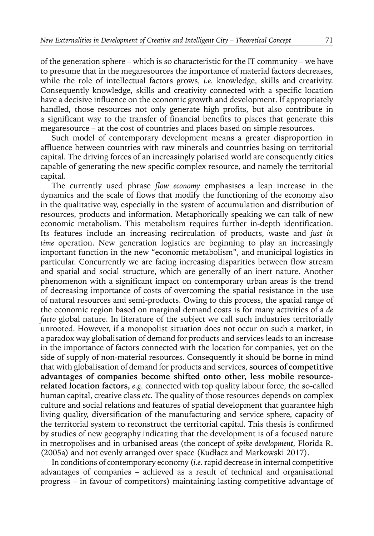of the generation sphere – which is so characteristic for the IT community – we have to presume that in the megaresources the importance of material factors decreases, while the role of intellectual factors grows, *i.e.* knowledge, skills and creativity. Consequently knowledge, skills and creativity connected with a specific location have a decisive influence on the economic growth and development. If appropriately handled, those resources not only generate high profits, but also contribute in a significant way to the transfer of financial benefits to places that generate this megaresource – at the cost of countries and places based on simple resources.

Such model of contemporary development means a greater disproportion in affluence between countries with raw minerals and countries basing on territorial capital. The driving forces of an increasingly polarised world are consequently cities capable of generating the new specific complex resource, and namely the territorial capital.

The currently used phrase *flow economy* emphasises a leap increase in the dynamics and the scale of flows that modify the functioning of the economy also in the qualitative way, especially in the system of accumulation and distribution of resources, products and information. Metaphorically speaking we can talk of new economic metabolism. This metabolism requires further in-depth identification. Its features include an increasing recirculation of products, waste and *just in time* operation. New generation logistics are beginning to play an increasingly important function in the new "economic metabolism", and municipal logistics in particular. Concurrently we are facing increasing disparities between flow stream and spatial and social structure, which are generally of an inert nature. Another phenomenon with a significant impact on contemporary urban areas is the trend of decreasing importance of costs of overcoming the spatial resistance in the use of natural resources and semi-products. Owing to this process, the spatial range of the economic region based on marginal demand costs is for many activities of a *de facto* global nature. In literature of the subject we call such industries territorially unrooted. However, if a monopolist situation does not occur on such a market, in a paradox way globalisation of demand for products and services leads to an increase in the importance of factors connected with the location for companies, yet on the side of supply of non-material resources. Consequently it should be borne in mind that with globalisation of demand for products and services, **sources of competitive advantages of companies become shifted onto other, less mobile resourcerelated location factors,** *e.g.* connected with top quality labour force, the so-called human capital, creative class *etc.* The quality of those resources depends on complex culture and social relations and features of spatial development that guarantee high living quality, diversification of the manufacturing and service sphere, capacity of the territorial system to reconstruct the territorial capital. This thesis is confirmed by studies of new geography indicating that the development is of a focused nature in metropolises and in urbanised areas (the concept of *spike development,* Florida R. (2005a) and not evenly arranged over space (Kudłacz and Markowski 2017).

In conditions of contemporary economy (*i.e.* rapid decrease in internal competitive advantages of companies – achieved as a result of technical and organisational progress – in favour of competitors) maintaining lasting competitive advantage of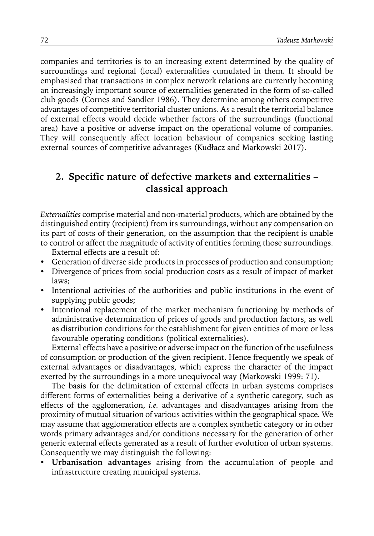companies and territories is to an increasing extent determined by the quality of surroundings and regional (local) externalities cumulated in them. It should be emphasised that transactions in complex network relations are currently becoming an increasingly important source of externalities generated in the form of so-called club goods (Cornes and Sandler 1986). They determine among others competitive advantages of competitive territorial cluster unions. As a result the territorial balance of external effects would decide whether factors of the surroundings (functional area) have a positive or adverse impact on the operational volume of companies. They will consequently affect location behaviour of companies seeking lasting external sources of competitive advantages (Kudłacz and Markowski 2017).

### **2. Specific nature of defective markets and externalities – classical approach**

*Externalities* comprise material and non-material products, which are obtained by the distinguished entity (recipient) from its surroundings, without any compensation on its part of costs of their generation, on the assumption that the recipient is unable to control or affect the magnitude of activity of entities forming those surroundings.

External effects are a result of:

- y Generation of diverse side products in processes of production and consumption;
- Divergence of prices from social production costs as a result of impact of market laws;
- Intentional activities of the authorities and public institutions in the event of supplying public goods;
- Intentional replacement of the market mechanism functioning by methods of administrative determination of prices of goods and production factors, as well as distribution conditions for the establishment for given entities of more or less favourable operating conditions (political externalities).

External effects have a positive or adverse impact on the function of the usefulness of consumption or production of the given recipient. Hence frequently we speak of external advantages or disadvantages, which express the character of the impact exerted by the surroundings in a more unequivocal way (Markowski 1999: 71).

The basis for the delimitation of external effects in urban systems comprises different forms of externalities being a derivative of a synthetic category, such as effects of the agglomeration, *i.e.* advantages and disadvantages arising from the proximity of mutual situation of various activities within the geographical space. We may assume that agglomeration effects are a complex synthetic category or in other words primary advantages and/or conditions necessary for the generation of other generic external effects generated as a result of further evolution of urban systems. Consequently we may distinguish the following:

y **Urbanisation advantages** arising from the accumulation of people and infrastructure creating municipal systems.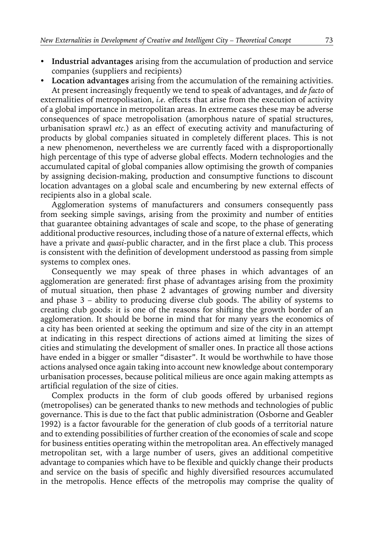- y **Industrial advantages** arising from the accumulation of production and service companies (suppliers and recipients)
- y **Location advantages** arising from the accumulation of the remaining activities.

At present increasingly frequently we tend to speak of advantages, and *de facto* of externalities of metropolisation, *i.e.* effects that arise from the execution of activity of a global importance in metropolitan areas. In extreme cases these may be adverse consequences of space metropolisation (amorphous nature of spatial structures, urbanisation sprawl *etc.*) as an effect of executing activity and manufacturing of products by global companies situated in completely different places. This is not a new phenomenon, nevertheless we are currently faced with a disproportionally high percentage of this type of adverse global effects. Modern technologies and the accumulated capital of global companies allow optimising the growth of companies by assigning decision-making, production and consumptive functions to discount location advantages on a global scale and encumbering by new external effects of recipients also in a global scale.

Agglomeration systems of manufacturers and consumers consequently pass from seeking simple savings, arising from the proximity and number of entities that guarantee obtaining advantages of scale and scope, to the phase of generating additional productive resources, including those of a nature of external effects, which have a private and *quasi*-public character, and in the first place a club. This process is consistent with the definition of development understood as passing from simple systems to complex ones.

Consequently we may speak of three phases in which advantages of an agglomeration are generated: first phase of advantages arising from the proximity of mutual situation, then phase 2 advantages of growing number and diversity and phase 3 – ability to producing diverse club goods. The ability of systems to creating club goods: it is one of the reasons for shifting the growth border of an agglomeration. It should be borne in mind that for many years the economics of a city has been oriented at seeking the optimum and size of the city in an attempt at indicating in this respect directions of actions aimed at limiting the sizes of cities and stimulating the development of smaller ones. In practice all those actions have ended in a bigger or smaller "disaster". It would be worthwhile to have those actions analysed once again taking into account new knowledge about contemporary urbanisation processes, because political milieus are once again making attempts as artificial regulation of the size of cities.

Complex products in the form of club goods offered by urbanised regions (metropolises) can be generated thanks to new methods and technologies of public governance. This is due to the fact that public administration (Osborne and Geabler 1992) is a factor favourable for the generation of club goods of a territorial nature and to extending possibilities of further creation of the economies of scale and scope for business entities operating within the metropolitan area. An effectively managed metropolitan set, with a large number of users, gives an additional competitive advantage to companies which have to be flexible and quickly change their products and service on the basis of specific and highly diversified resources accumulated in the metropolis. Hence effects of the metropolis may comprise the quality of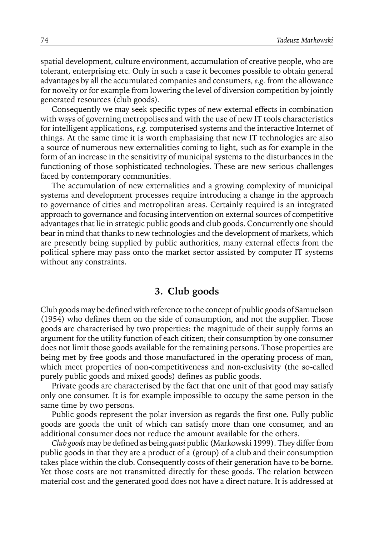spatial development, culture environment, accumulation of creative people, who are tolerant, enterprising etc. Only in such a case it becomes possible to obtain general advantages by all the accumulated companies and consumers, *e.g.* from the allowance for novelty or for example from lowering the level of diversion competition by jointly generated resources (club goods).

Consequently we may seek specific types of new external effects in combination with ways of governing metropolises and with the use of new IT tools characteristics for intelligent applications, *e.g.* computerised systems and the interactive Internet of things. At the same time it is worth emphasising that new IT technologies are also a source of numerous new externalities coming to light, such as for example in the form of an increase in the sensitivity of municipal systems to the disturbances in the functioning of those sophisticated technologies. These are new serious challenges faced by contemporary communities.

The accumulation of new externalities and a growing complexity of municipal systems and development processes require introducing a change in the approach to governance of cities and metropolitan areas. Certainly required is an integrated approach to governance and focusing intervention on external sources of competitive advantages that lie in strategic public goods and club goods. Concurrently one should bear in mind that thanks to new technologies and the development of markets, which are presently being supplied by public authorities, many external effects from the political sphere may pass onto the market sector assisted by computer IT systems without any constraints.

#### **3. Club goods**

Club goods may be defined with reference to the concept of public goods of Samuelson (1954) who defines them on the side of consumption, and not the supplier. Those goods are characterised by two properties: the magnitude of their supply forms an argument for the utility function of each citizen; their consumption by one consumer does not limit those goods available for the remaining persons. Those properties are being met by free goods and those manufactured in the operating process of man, which meet properties of non-competitiveness and non-exclusivity (the so-called purely public goods and mixed goods) defines as public goods.

Private goods are characterised by the fact that one unit of that good may satisfy only one consumer. It is for example impossible to occupy the same person in the same time by two persons.

Public goods represent the polar inversion as regards the first one. Fully public goods are goods the unit of which can satisfy more than one consumer, and an additional consumer does not reduce the amount available for the others.

*Club goods* may be defined as being *quasi* public (Markowski 1999). They differ from public goods in that they are a product of a (group) of a club and their consumption takes place within the club. Consequently costs of their generation have to be borne. Yet those costs are not transmitted directly for these goods. The relation between material cost and the generated good does not have a direct nature. It is addressed at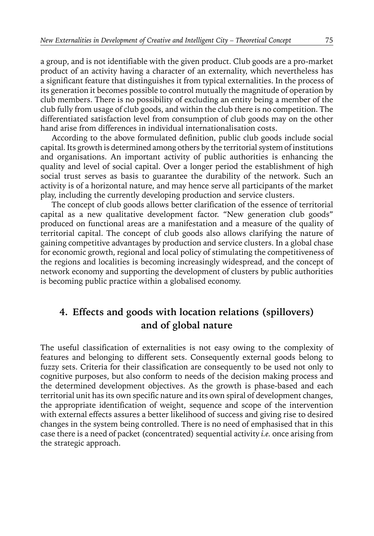a group, and is not identifiable with the given product. Club goods are a pro-market product of an activity having a character of an externality, which nevertheless has a significant feature that distinguishes it from typical externalities. In the process of its generation it becomes possible to control mutually the magnitude of operation by club members. There is no possibility of excluding an entity being a member of the club fully from usage of club goods, and within the club there is no competition. The differentiated satisfaction level from consumption of club goods may on the other hand arise from differences in individual internationalisation costs.

According to the above formulated definition, public club goods include social capital. Its growth is determined among others by the territorial system of institutions and organisations. An important activity of public authorities is enhancing the quality and level of social capital. Over a longer period the establishment of high social trust serves as basis to guarantee the durability of the network. Such an activity is of a horizontal nature, and may hence serve all participants of the market play, including the currently developing production and service clusters.

The concept of club goods allows better clarification of the essence of territorial capital as a new qualitative development factor. "New generation club goods" produced on functional areas are a manifestation and a measure of the quality of territorial capital. The concept of club goods also allows clarifying the nature of gaining competitive advantages by production and service clusters. In a global chase for economic growth, regional and local policy of stimulating the competitiveness of the regions and localities is becoming increasingly widespread, and the concept of network economy and supporting the development of clusters by public authorities is becoming public practice within a globalised economy.

### **4. Effects and goods with location relations (spillovers) and of global nature**

The useful classification of externalities is not easy owing to the complexity of features and belonging to different sets. Consequently external goods belong to fuzzy sets. Criteria for their classification are consequently to be used not only to cognitive purposes, but also conform to needs of the decision making process and the determined development objectives. As the growth is phase-based and each territorial unit has its own specific nature and its own spiral of development changes, the appropriate identification of weight, sequence and scope of the intervention with external effects assures a better likelihood of success and giving rise to desired changes in the system being controlled. There is no need of emphasised that in this case there is a need of packet (concentrated) sequential activity *i.e.* once arising from the strategic approach.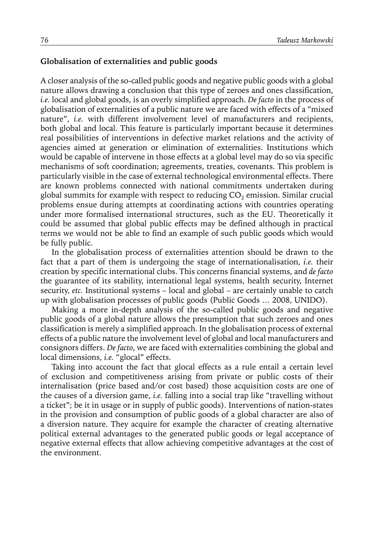#### **Globalisation of externalities and public goods**

A closer analysis of the so-called public goods and negative public goods with a global nature allows drawing a conclusion that this type of zeroes and ones classification, *i.e.* local and global goods, is an overly simplified approach. *De facto* in the process of globalisation of externalities of a public nature we are faced with effects of a "mixed nature", *i.e.* with different involvement level of manufacturers and recipients, both global and local. This feature is particularly important because it determines real possibilities of interventions in defective market relations and the activity of agencies aimed at generation or elimination of externalities. Institutions which would be capable of intervene in those effects at a global level may do so via specific mechanisms of soft coordination; agreements, treaties, covenants. This problem is particularly visible in the case of external technological environmental effects. There are known problems connected with national commitments undertaken during global summits for example with respect to reducing  $CO<sub>2</sub>$  emission. Similar crucial problems ensue during attempts at coordinating actions with countries operating under more formalised international structures, such as the EU. Theoretically it could be assumed that global public effects may be defined although in practical terms we would not be able to find an example of such public goods which would be fully public.

In the globalisation process of externalities attention should be drawn to the fact that a part of them is undergoing the stage of internationalisation, *i.e.* their creation by specific international clubs. This concerns financial systems, and *de facto* the guarantee of its stability, international legal systems, health security, Internet security, *etc.* Institutional systems – local and global – are certainly unable to catch up with globalisation processes of public goods (Public Goods … 2008, UNIDO).

Making a more in-depth analysis of the so-called public goods and negative public goods of a global nature allows the presumption that such zeroes and ones classification is merely a simplified approach. In the globalisation process of external effects of a public nature the involvement level of global and local manufacturers and consignors differs. *De facto*, we are faced with externalities combining the global and local dimensions, *i.e.* "glocal" effects.

Taking into account the fact that glocal effects as a rule entail a certain level of exclusion and competitiveness arising from private or public costs of their internalisation (price based and/or cost based) those acquisition costs are one of the causes of a diversion game, *i.e.* falling into a social trap like "travelling without a ticket"; be it in usage or in supply of public goods). Interventions of nation-states in the provision and consumption of public goods of a global character are also of a diversion nature. They acquire for example the character of creating alternative political external advantages to the generated public goods or legal acceptance of negative external effects that allow achieving competitive advantages at the cost of the environment.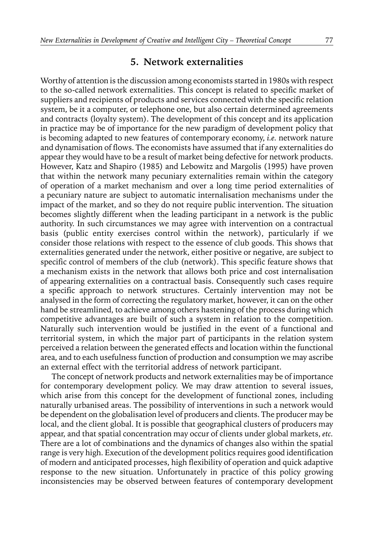#### **5. Network externalities**

Worthy of attention is the discussion among economists started in 1980s with respect to the so-called network externalities. This concept is related to specific market of suppliers and recipients of products and services connected with the specific relation system, be it a computer, or telephone one, but also certain determined agreements and contracts (loyalty system). The development of this concept and its application in practice may be of importance for the new paradigm of development policy that is becoming adapted to new features of contemporary economy, *i.e.* network nature and dynamisation of flows. The economists have assumed that if any externalities do appear they would have to be a result of market being defective for network products. However, Katz and Shapiro (1985) and Lebowitz and Margolis (1995) have proven that within the network many pecuniary externalities remain within the category of operation of a market mechanism and over a long time period externalities of a pecuniary nature are subject to automatic internalisation mechanisms under the impact of the market, and so they do not require public intervention. The situation becomes slightly different when the leading participant in a network is the public authority. In such circumstances we may agree with intervention on a contractual basis (public entity exercises control within the network), particularly if we consider those relations with respect to the essence of club goods. This shows that externalities generated under the network, either positive or negative, are subject to specific control of members of the club (network). This specific feature shows that a mechanism exists in the network that allows both price and cost internalisation of appearing externalities on a contractual basis. Consequently such cases require a specific approach to network structures. Certainly intervention may not be analysed in the form of correcting the regulatory market, however, it can on the other hand be streamlined, to achieve among others hastening of the process during which competitive advantages are built of such a system in relation to the competition. Naturally such intervention would be justified in the event of a functional and territorial system, in which the major part of participants in the relation system perceived a relation between the generated effects and location within the functional area, and to each usefulness function of production and consumption we may ascribe an external effect with the territorial address of network participant.

The concept of network products and network externalities may be of importance for contemporary development policy. We may draw attention to several issues, which arise from this concept for the development of functional zones, including naturally urbanised areas. The possibility of interventions in such a network would be dependent on the globalisation level of producers and clients. The producer may be local, and the client global. It is possible that geographical clusters of producers may appear, and that spatial concentration may occur of clients under global markets, *etc.* There are a lot of combinations and the dynamics of changes also within the spatial range is very high. Execution of the development politics requires good identification of modern and anticipated processes, high flexibility of operation and quick adaptive response to the new situation. Unfortunately in practice of this policy growing inconsistencies may be observed between features of contemporary development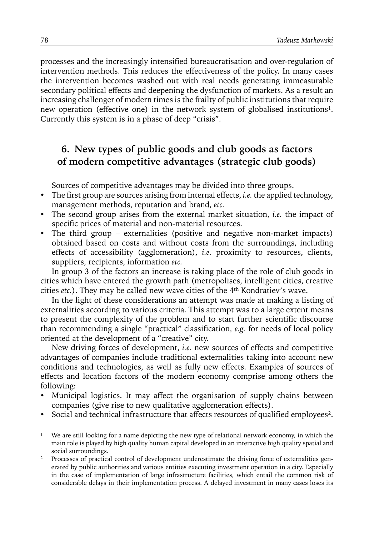processes and the increasingly intensified bureaucratisation and over-regulation of intervention methods. This reduces the effectiveness of the policy. In many cases the intervention becomes washed out with real needs generating immeasurable secondary political effects and deepening the dysfunction of markets. As a result an increasing challenger of modern times is the frailty of public institutions that require new operation (effective one) in the network system of globalised institutions<sup>1</sup>. Currently this system is in a phase of deep "crisis".

### **6. New types of public goods and club goods as factors of modern competitive advantages (strategic club goods)**

Sources of competitive advantages may be divided into three groups.

- y The first group are sources arising from internal effects, *i.e.* the applied technology, management methods, reputation and brand, *etc.*
- The second group arises from the external market situation, *i.e.* the impact of specific prices of material and non-material resources.
- The third group externalities (positive and negative non-market impacts) obtained based on costs and without costs from the surroundings, including effects of accessibility (agglomeration), *i.e.* proximity to resources, clients, suppliers, recipients, information *etc.*

In group 3 of the factors an increase is taking place of the role of club goods in cities which have entered the growth path (metropolises, intelligent cities, creative cities *etc.*). They may be called new wave cities of the 4th Kondratiev's wave.

In the light of these considerations an attempt was made at making a listing of externalities according to various criteria. This attempt was to a large extent means to present the complexity of the problem and to start further scientific discourse than recommending a single "practical" classification, *e.g.* for needs of local policy oriented at the development of a "creative" city.

New driving forces of development, *i.e.* new sources of effects and competitive advantages of companies include traditional externalities taking into account new conditions and technologies, as well as fully new effects. Examples of sources of effects and location factors of the modern economy comprise among others the following:

- Municipal logistics. It may affect the organisation of supply chains between companies (give rise to new qualitative agglomeration effects).
- Social and technical infrastructure that affects resources of qualified employees<sup>2</sup>.

<sup>&</sup>lt;sup>1</sup> We are still looking for a name depicting the new type of relational network economy, in which the main role is played by high quality human capital developed in an interactive high quality spatial and social surroundings.

<sup>&</sup>lt;sup>2</sup> Processes of practical control of development underestimate the driving force of externalities generated by public authorities and various entities executing investment operation in a city. Especially in the case of implementation of large infrastructure facilities, which entail the common risk of considerable delays in their implementation process. A delayed investment in many cases loses its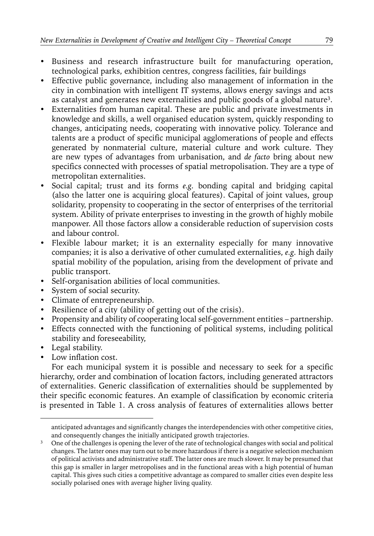- Business and research infrastructure built for manufacturing operation, technological parks, exhibition centres, congress facilities, fair buildings
- Effective public governance, including also management of information in the city in combination with intelligent IT systems, allows energy savings and acts as catalyst and generates new externalities and public goods of a global nature3.
- y Externalities from human capital. These are public and private investments in knowledge and skills, a well organised education system, quickly responding to changes, anticipating needs, cooperating with innovative policy. Tolerance and talents are a product of specific municipal agglomerations of people and effects generated by nonmaterial culture, material culture and work culture. They are new types of advantages from urbanisation, and *de facto* bring about new specifics connected with processes of spatial metropolisation. They are a type of metropolitan externalities.
- y Social capital; trust and its forms *e.g.* bonding capital and bridging capital (also the latter one is acquiring glocal features). Capital of joint values, group solidarity, propensity to cooperating in the sector of enterprises of the territorial system. Ability of private enterprises to investing in the growth of highly mobile manpower. All those factors allow a considerable reduction of supervision costs and labour control.
- Flexible labour market; it is an externality especially for many innovative companies; it is also a derivative of other cumulated externalities, *e.g.* high daily spatial mobility of the population, arising from the development of private and public transport.
- Self-organisation abilities of local communities.
- System of social security.
- Climate of entrepreneurship.
- $\bullet$  Resilience of a city (ability of getting out of the crisis).
- Propensity and ability of cooperating local self-government entities partnership.
- Effects connected with the functioning of political systems, including political stability and foreseeability,
- Legal stability.
- Low inflation cost.

For each municipal system it is possible and necessary to seek for a specific hierarchy, order and combination of location factors, including generated attractors of externalities. Generic classification of externalities should be supplemented by their specific economic features. An example of classification by economic criteria is presented in Table 1. A cross analysis of features of externalities allows better

anticipated advantages and significantly changes the interdependencies with other competitive cities, and consequently changes the initially anticipated growth trajectories.

<sup>&</sup>lt;sup>3</sup> One of the challenges is opening the lever of the rate of technological changes with social and political changes. The latter ones may turn out to be more hazardous if there is a negative selection mechanism of political activists and administrative staff. The latter ones are much slower. It may be presumed that this gap is smaller in larger metropolises and in the functional areas with a high potential of human capital. This gives such cities a competitive advantage as compared to smaller cities even despite less socially polarised ones with average higher living quality.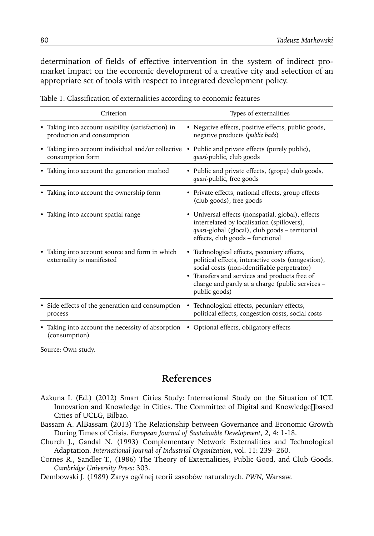determination of fields of effective intervention in the system of indirect promarket impact on the economic development of a creative city and selection of an appropriate set of tools with respect to integrated development policy.

| Criterion                                                                                                            | Types of externalities                                                                                                                                                                                                                                                 |
|----------------------------------------------------------------------------------------------------------------------|------------------------------------------------------------------------------------------------------------------------------------------------------------------------------------------------------------------------------------------------------------------------|
| • Taking into account usability (satisfaction) in<br>production and consumption                                      | • Negative effects, positive effects, public goods,<br>negative products (public bads)                                                                                                                                                                                 |
| • Taking into account individual and/or collective • Public and private effects (purely public),<br>consumption form | quasi-public, club goods                                                                                                                                                                                                                                               |
| • Taking into account the generation method                                                                          | • Public and private effects, (grope) club goods,<br>quasi-public, free goods                                                                                                                                                                                          |
| • Taking into account the ownership form                                                                             | • Private effects, national effects, group effects<br>(club goods), free goods                                                                                                                                                                                         |
| Taking into account spatial range                                                                                    | • Universal effects (nonspatial, global), effects<br>interrelated by localisation (spillovers),<br>quasi-global (glocal), club goods - territorial<br>effects, club goods - functional                                                                                 |
| Taking into account source and form in which<br>externality is manifested                                            | • Technological effects, pecuniary effects,<br>political effects, interactive costs (congestion),<br>social costs (non-identifiable perpetrator)<br>• Transfers and services and products free of<br>charge and partly at a charge (public services -<br>public goods) |
| • Side effects of the generation and consumption<br>process                                                          | • Technological effects, pecuniary effects,<br>political effects, congestion costs, social costs                                                                                                                                                                       |
| Taking into account the necessity of absorption<br>(consumption)                                                     | • Optional effects, obligatory effects                                                                                                                                                                                                                                 |

Table 1. Classification of externalities according to economic features

Source: Own study.

### **References**

- Azkuna I. (Ed.) (2012) Smart Cities Study: International Study on the Situation of ICT. Innovation and Knowledge in Cities. The Committee of Digital and Knowledge<sub>□based</sub> Cities of UCLG, Bilbao.
- Bassam A. AlBassam (2013) The Relationship between Governance and Economic Growth During Times of Crisis. *European Journal of Sustainable Development*, 2, 4: 1-18.
- Church J., Gandal N. (1993) Complementary Network Externalities and Technological Adaptation. *International Journal of Industrial Organization*, vol. 11: 239- 260.
- Cornes R., Sandler T., (1986) The Theory of Externalities, Public Good, and Club Goods. *Cambridge University Press*: 303.
- Dembowski J. (1989) Zarys ogólnej teorii zasobów naturalnych. *PWN*, Warsaw.